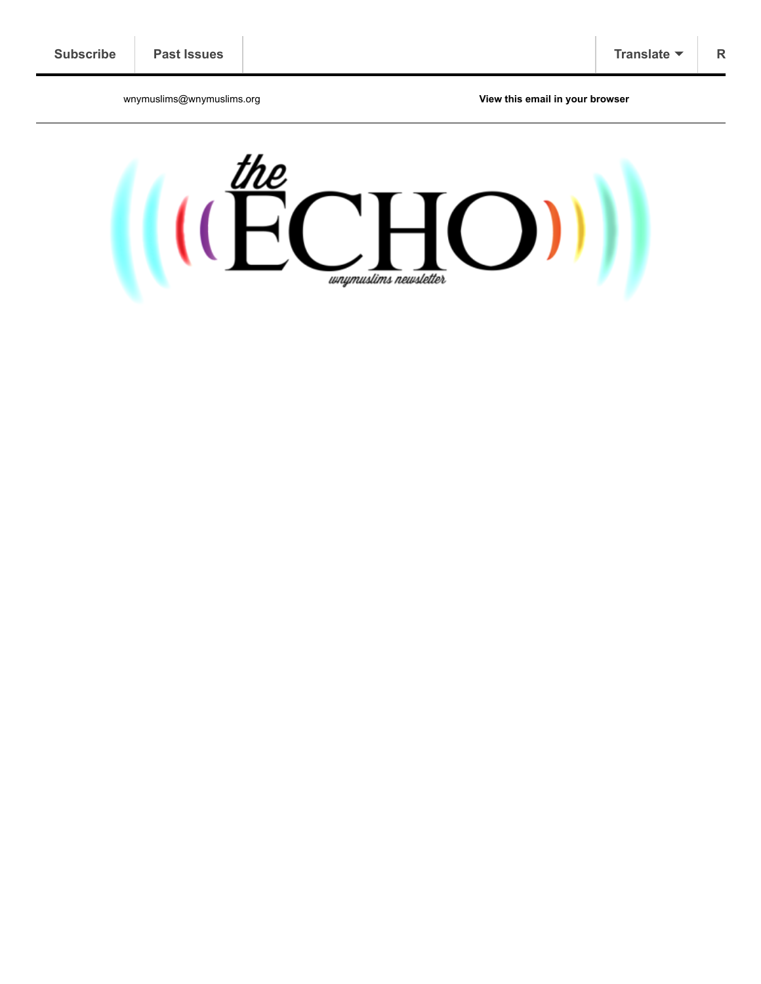wnymuslims@wnymuslims.org **[View this email in your browser](https://us13.campaign-archive.com/?e=[UNIQID]&u=19ed6f05ad8527220a10faa63&id=b587f8ddf8)**

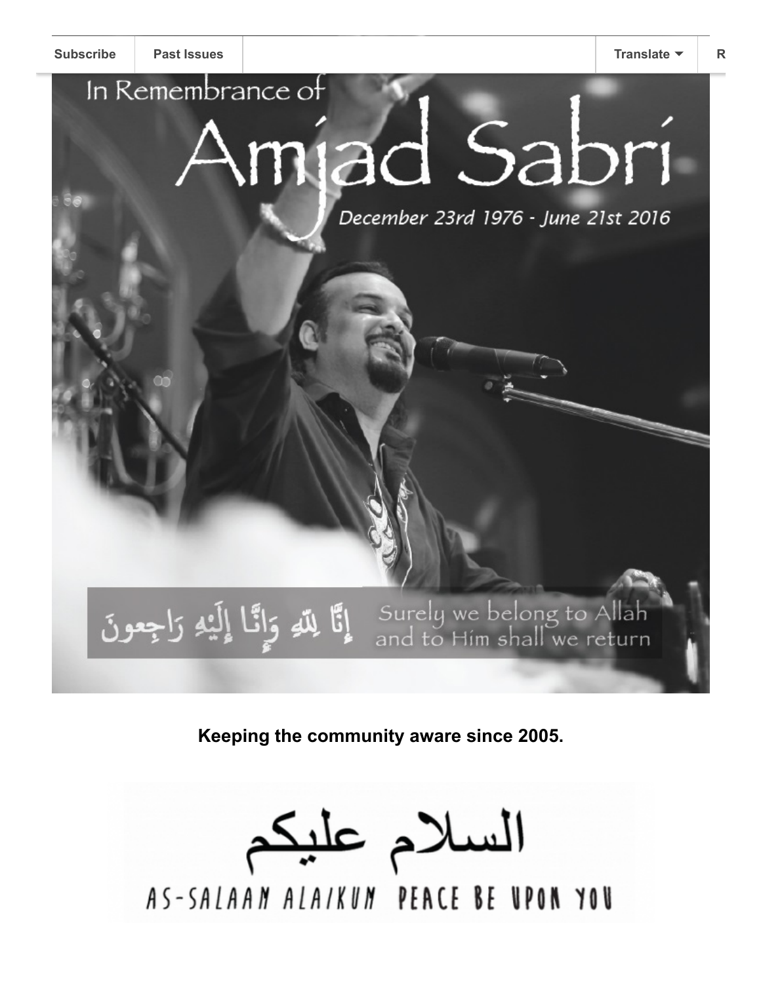# In Remembrance of ad Sabri

December 23rd 1976 - June 21st 2016

Surely we belong to Allah إِنَّا لِللَّهِ وَإِنَّا إِلَيْهِ رَاجِعُونَ<br>and to Hím shall we return

**Keeping the community aware since 2005.**

السلام عليكم AS-SALAAN ALAIKUN PEACE BE UPON YOU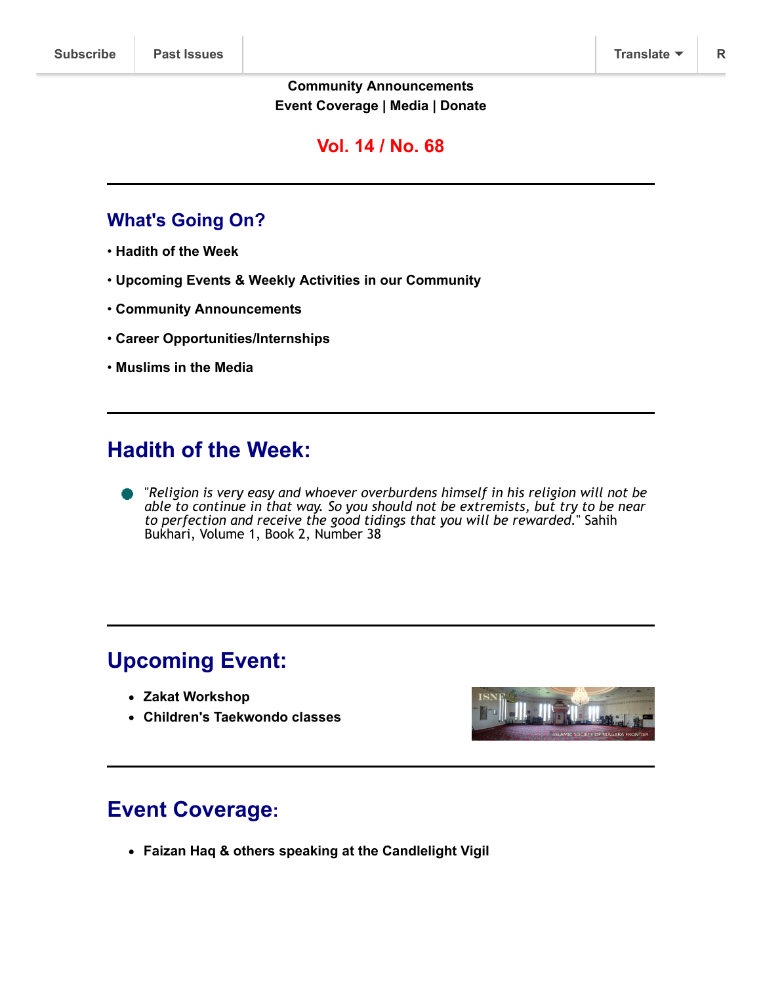#### **[Community Announcements](http://wnymuslims.org/community-announcements/) [Event Coverage](http://wnymuslims.org/event-coverage/) | [Media](http://wnymuslims.org/media/) | [Donate](https://app.mobilecause.com/form/NaKD5w)**

### **Vol. 14 / No. 68**

## **What's Going On?**

- **[Hadith of the Week](#page-2-0)**
- **Upcoming Events & Weekly Activities in our Community**
- **[Community Announcements](#page-3-0)**
- **[Career Opportunities/Internships](#page-4-0)**
- **[Muslims in the Media](#page-4-1)**

# <span id="page-2-0"></span>**Hadith of the Week:**

"*Religion is very easy and whoever overburdens himself in his religion will not be able to continue in that way. So you should not be extremists, but try to be near to perfection and receive the good tidings that you will be rewarded.*" Sahih Bukhari, Volume 1, Book 2, Number 38

# **Upcoming Event:**

- **[Zakat Workshop](http://wnymuslims.org/?p=11729)**
- **[Children's Taekwondo classes](http://wnymuslims.org/?p=11655)**



# **Event Coverage:**

**[Faizan Haq & others speaking at the Candlelight Vigil](http://wnymuslims.org/?p=11698)**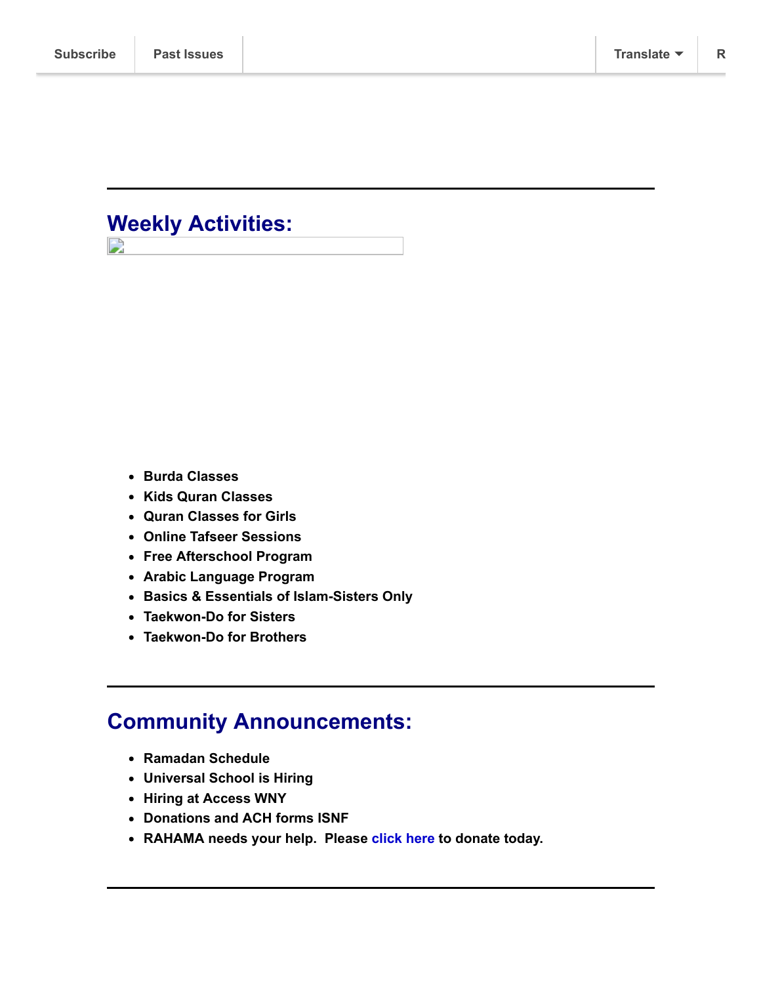## **Weekly Activities:** D

- 
- **[Burda Classes](http://wnymuslims.org/event/burda-classes/)**
- **[Kids Quran Classes](http://wnymuslims.org/event/kids-quran-classes/)**
- **[Quran Classes for Girls](http://wnymuslims.org/event/weekly-quran-classes-for-girls/)**
- **[Online Tafseer Sessions](http://wnymuslims.org/event/weekly-online-tafseer-classes/)**
- **[Free Afterschool Program](http://wnymuslims.org/event/access-of-wny-afterschool-program/)**
- **[Arabic Language Program](http://wnymuslims.org/event/access-arabic-language-program/)**
- **[Basics & Essentials of Islam-Sisters Only](http://wnymuslims.org/event/learn-the-basics-of-islam-with-other-sisters-from-the-community/)**
- **[Taekwon-Do for Sisters](http://wnymuslims.org/event/taekwon-do-classes-for-sisters/)**
- **[Taekwon-Do for Brothers](http://wnymuslims.org/event/taekwon-do-classes-for-brothers/)**

# <span id="page-3-0"></span>**Community Announcements:**

- **[Ramadan Schedule](http://wnymuslims.org/?p=11563)**
- **[Universal School is Hiring](http://wnymuslims.org/universal-school-is-hiring-2/?preview_id=11615&preview_nonce=5e59a54000&preview=true)**
- **[Hiring at Access WNY](http://wnymuslims.org/?p=11593)**
- **[Donations and ACH forms ISNF](http://wnymuslims.org/donations-and-ach-forms-isnf/)**
- **[RAHAMA needs your help.](http://wnymuslims.org/?p=11672) [Please](http://www.rahama.org/) [click here](http://www.rahama.org/index.php/donate.html) to donate today.**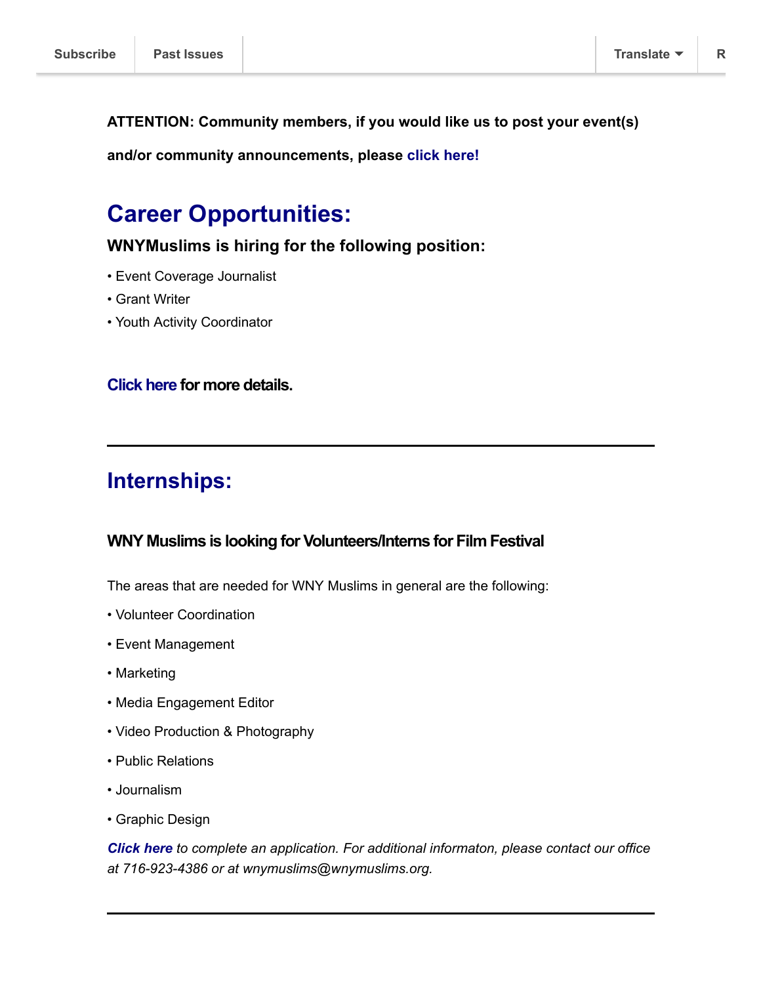<span id="page-4-0"></span>**ATTENTION: Community members, if you would like us to post your event(s)**

**and/or community announcements, please click [here!](http://wnymuslims.org/eventinformation/)**

# **Career Opportunities:**

**WNYMuslims is hiring for the following position:**

- Event Coverage Journalist
- Grant Writer
- Youth Activity Coordinator

#### **[Click](http://wnymuslims.org/careers/) here for more details.**

## **Internships:**

#### **WNY Muslims is looking for Volunteers/Interns for Film Festival**

The areas that are needed for WNY Muslims in general are the following:

- Volunteer Coordination
- Event Management
- Marketing
- Media Engagement Editor
- Video Production & Photography
- Public Relations
- Journalism
- Graphic Design

<span id="page-4-1"></span>*[Click here](http://wnymuslims.org/volunteer/) to complete an application. For additional informaton, please contact our office at 716-923-4386 or at wnymuslims@wnymuslims.org.*